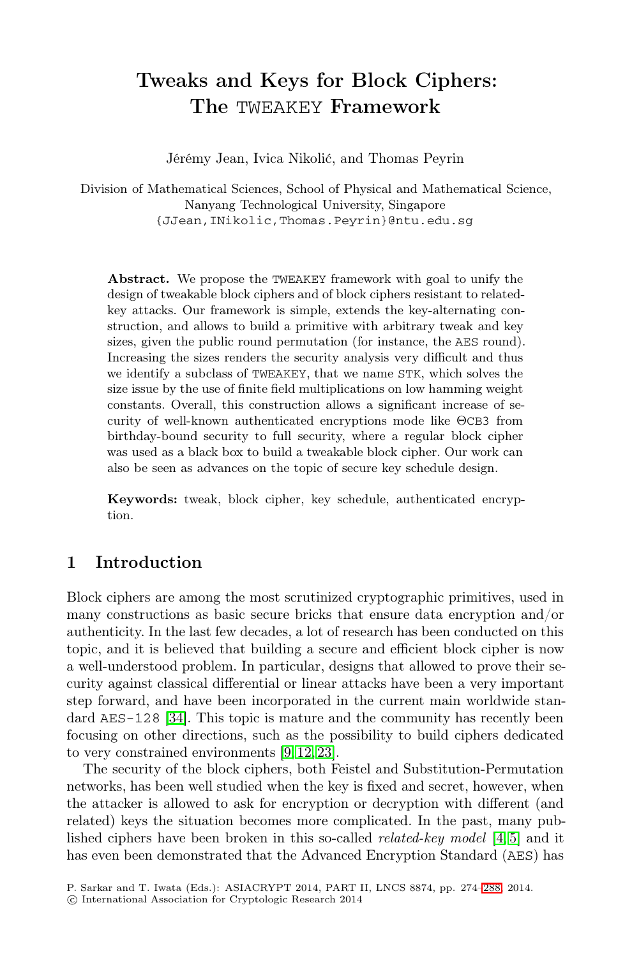# Tweaks and Keys for Block Ciphers: The TWEAKEY Framework

Jérémy Jean, Ivica Nikolić, and Thomas Peyrin

Division of Mathematical Sciences, School of Physical and Mathematical Science, Nanyang Technological University, Singapore {JJean,INikolic,Thomas.Peyrin}@ntu.edu.sg

Abstract. We propose the TWEAKEY framework with goal to unify the design of tweakable block ciphers and of block ciphers resistant to relatedkey attacks. Our framework is simple, extends the key-alternating construction, and allows to build a primitive with arbitrary tweak and key sizes, given the public round permutation (for instance, the AES round). Increasing the sizes renders the security analysis very difficult and thus we identify a subclass of TWEAKEY, that we name STK, which solves the size issue by the use of finite field multiplications on low hamming weight constants. Overall, this construction allows a significant increase of security of well-known authenticated encryptions mode like ΘCB3 from birthday-bound security to full security, where a regular block cipher was used as a black box to build a tweakable block cipher. Our work can also be seen as advances on the topic of secure key schedule design.

Keywords: tweak, block cipher, key schedule, authenticated encryption.

# 1 Introduction

[B](#page-14-0)lock ciphers are among the most scrutinized cryptographic primitives, used in many constructi[on](#page-13-0)[s a](#page-13-1)[s b](#page-14-1)asic secure bricks that ensure data encryption and/or authenticity. In the last few decades, a lot of research has been conducted on this topic, and it is believed that building a secure and efficient block cipher is now a well-understood problem. In particular, designs that allowed to prove their security against classical differential or linear attacks have been a very important step forward, and have been incorporated in the [cu](#page-12-0)[rre](#page-13-2)nt main worldwide standard AES-128 [34]. This topic is mature and the community has recently been focusing on other directions, such as the possibility to build ciphers dedicated to very constrained environments [9, 12, 23].

The security of the block ciphers, both Feistel and Substitution-Permutation networks, has been well studied when the key is fixed and secret, however, when the attacker is allowed to ask for encryption or decryption with different (and related) keys the situation becomes more complicated. In the past, many published ciphers have been broken in this so-called *related-key model* [4, 5] and it has even been demonstrated that the Advanced Encryption Standard (AES) has

P. Sarkar and T. Iwata (Eds.): ASIACRYPT 2014, PART II, LNCS 8874, pp. 274–288, 2014.

<sup>-</sup>c International Association for Cryptologic Research 2014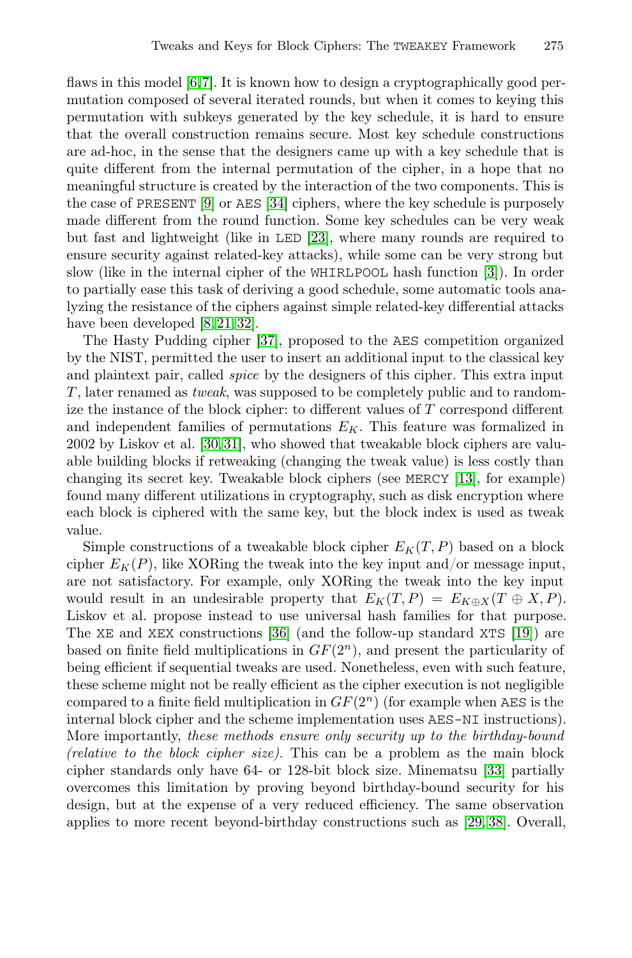fla[ws](#page-13-0) in this m[ode](#page-14-0)l [6,7]. It is known how to design a cryptographically good permutation composed [of s](#page-14-1)everal iterated rounds, but when it comes to keying this permutation with subkeys generated by the key schedule, it is hard to ensure that the overall construction remains secure. M[os](#page-12-1)t key schedule constructions are ad-hoc, in the sense that the designers came up with a key schedule that is quite different from the internal permutation of the cipher, in a hope that no me[ani](#page-13-3)[ngf](#page-13-4)[ul s](#page-14-2)tructure is created by the interaction of the two components. This is the case of P[RES](#page-14-3)ENT [9] or AES [34] ciphers, where the key schedule is purposely made different from the round function. Some key schedules can be very weak but fast and lightweight (like in LED [23], where many rounds are required to ensure security against related-key attacks), while some can be very strong but slow (like in the internal cipher of the WHIRLPOOL hash function [3]). In order to partially ease this task of deriving a good schedule, some automatic tools analyzi[ng](#page-14-4) [the](#page-14-5) resistance of the ciphers against simple related-key differential attacks have been developed [8, 21, 32].

The Hasty Pudding cipher [37], proposed [to](#page-13-5) the AES competition organized by the NIST, permitted the user to insert an additional input to the classical key and plaintext pair, called *spice* by the designers of this cipher. This extra input T , later renamed as *tweak*, was supposed to be completely public and to randomize the instance of the block cipher: to different values of  $T$  correspond different and independent families of permutations E*<sup>K</sup>*. This feature was formalized in 2002 by Liskov et al. [30, 31], who showed that tweakable block ciphers are valuable building blocks if retweaking (changing the tweak value) is less costly than changing its secret key. Tweakable block ciphers (see MERCY [13], for example) found many di[ffer](#page-14-6)ent utilizations in cryptography, suc[h as](#page-13-6) disk encryption where each block is ciphered with the same key, but the block index is used as tweak value.

Simple constructions of a tweakable block cipher  $E_K(T, P)$  based on a block cipher  $E_K(P)$ , like XORing the tweak into the key input and/or message input, are not satisfactory. For example, only XORing the tweak into the key input would result in an undesirable property that  $E_K(T, P) = E_{K \oplus X}(T \oplus X, P)$ . Liskov et al. propose instead to use universal hash families for that purpose. The XE and XEX constructions [36] (and the fol[low](#page-14-7)-up standard XTS [19]) are based on finite field multiplications in  $GF(2<sup>n</sup>)$ , and present the particularity of being efficient if sequential tweaks are used. Nonetheless, even with such feature, these scheme might not be really efficient as th[e ci](#page-14-8)[phe](#page-14-9)r execution is not negligible compared to a finite field multiplication in  $GF(2<sup>n</sup>)$  (for example when AES is the internal block cipher and the scheme implementation uses AES-NI instructions). More importantly, *these methods ensure only security up to the birthday-bound (relative to the block cipher size)*. This can be a problem as the main block cipher standards only have 64- or 128-bit block size. Minematsu [33] partially overcomes this limitation by proving beyond birthday-bound security for his design, but at the expense of a very reduced efficiency. The same observation applies to more recent beyond-birthday constructions such as [29, 38]. Overall,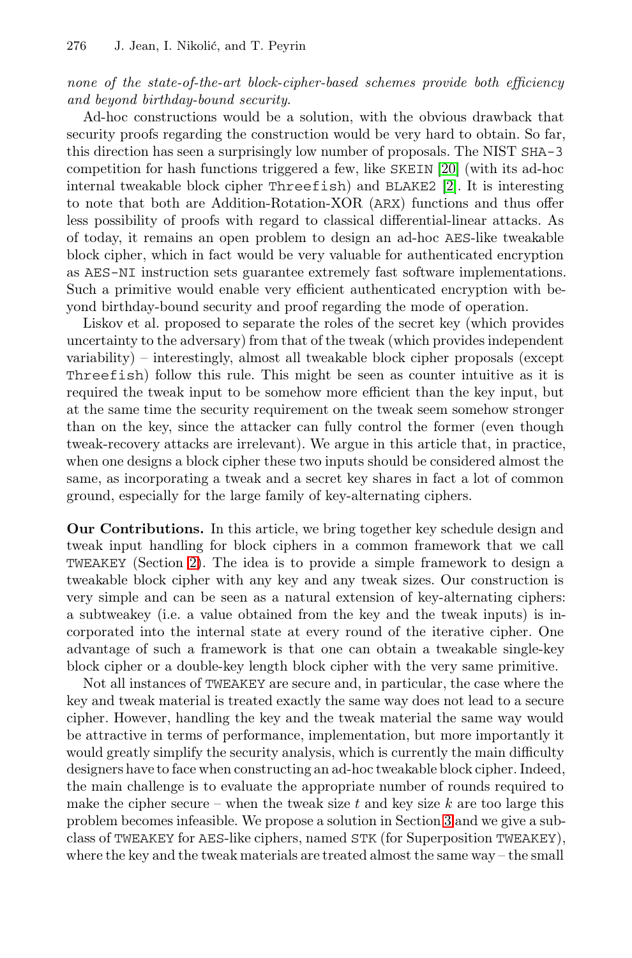*none of the state-of-the-art block-cipher-based schemes provide both efficiency and beyond birthday-bound security*.

Ad-hoc constructions would be a solution, with the obvious drawback that security proofs regarding the construction would be very hard to obtain. So far, this direction has seen a surprisingly low number of proposals. The NIST SHA-3 competition for hash functions triggered a few, like SKEIN [20] (with its ad-hoc internal tweakable block cipher Threefish) and BLAKE2 [2]. It is interesting to note that both are Addition-Rotation-XOR (ARX) functions and thus offer less possibility of proofs with regard to classical differential-linear attacks. As of today, it remains an open problem to design an ad-hoc AES-like tweakable block cipher, which in fact would be very valuable for authenticated encryption as AES-NI instruction sets guarantee extremely fast software implementations. Such a primitive would enable very efficient authenticated encryption with beyond birthday-bound security and proof regarding the mode of operation.

Liskov et al. proposed to separate the roles of the secret key (which provides uncertainty to the adversary) from that of the tweak (which provides independent variability) – interestingly, almost all tweakable block cipher proposals (except Threefish) follow this rule. This might be seen as counter intuitive as it is required the tweak input to be somehow more efficient than the key input, but at the same time the security requirement on the tweak seem somehow stronger t[ha](#page-3-0)n on the key, since the attacker can fully control the former (even though tweak-recovery attacks are irrelevant). We argue in this article that, in practice, when one designs a block cipher these two inputs should be considered almost the same, as incorporating a tweak and a secret key shares in fact a lot of common ground, especially for the large family of key-alternating ciphers.

Our Contributions. In this article, we bring together key schedule design and tweak input handling for block ciphers in a common framework that we call TWEAKEY (Section 2). The idea is to provide a simple framework to design a tweakable block cipher with any key and any tweak sizes. Our construction is very simple and can be seen as a natural extension of key-alternating ciphers: a subtweakey (i.e. a value obtained from the key and the tweak inputs) is incorporated into the internal state at every round of the iterative cipher. One advantage of such a framework is that one can obtain a tweakable single-key block cipher or a double-key length block cipher with the very same primitive.

Not all instances of TWEAKEY are secure [a](#page-8-0)nd, in particular, the case where the key and tweak material is treated exactly the same way does not lead to a secure cipher. However, handling the key and the tweak material the same way would be attractive in terms of performance, implementation, but more importantly it would greatly simplify the security analysis, which is currently the main difficulty designers have to face when constructing an ad-hoc tweakable block cipher. Indeed, the main challenge is to evaluate the appropriate number of rounds required to make the cipher secure – when the tweak size t and key size  $k$  are too large this problem becomes infeasible. We propose a solution in Section 3 and we give a subclass of TWEAKEY for AES-like ciphers, named STK (for Superposition TWEAKEY), where the key and the tweak materials are treated almost the same way – the small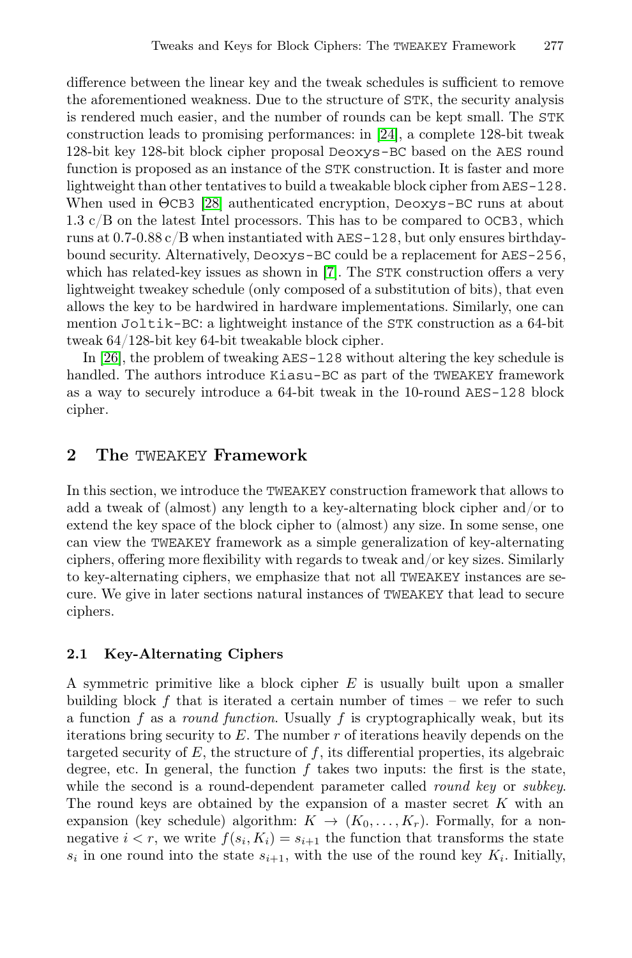<span id="page-3-0"></span>diff[eren](#page-14-10)ce between the linear key and the tweak schedules is sufficient to remove the aforementioned weakness. Due to the structure of STK, the security analysis is rendered much easier, and the number of rounds can be kept small. The STK construction leads to p[rom](#page-13-7)ising performances: in [24], a complete 128-bit tweak 128-bit key 128-bit block cipher proposal Deoxys-BC based on the AES round function is proposed as an instance of the STK construction. It is faster and more lightweight than other tentatives to build a tweakable block cipher from AES-128. When used in ΘCB3 [28] authenticated encryption, Deoxys-BC runs at about 1.3 c/B on the latest Intel processors. This has to be compared to OCB3, which runs at  $0.7-0.88 \text{ c}/\text{B}$  when instantiated with AES-128, but only ensures birthdaybound security. Alternatively, Deoxys-BC could be a replacement for AES-256, which has related-key issues as shown in [7]. The STK construction offers a very lightweight tweakey schedule (only composed of a substitution of bits), that even allows the key to be hardwired in hardware implementations. Similarly, one can mention Joltik-BC: a lightweight instance of the STK construction as a 64-bit tweak 64/128-bit key 64-bit tweakable block cipher.

In [26], the problem of tweaking AES-128 without altering the key schedule is handled. The authors introduce Kiasu-BC as part of the TWEAKEY framework as a way to securely introduce a 64-bit tweak in the 10-round AES-128 block cipher.

### 2 The TWEAKEY Framework

In this section, we introduce the TWEAKEY construction framework that allows to add a tweak of (almost) any length to a key-alternating block cipher and/or to extend the key space of the block cipher to (almost) any size. In some sense, one can view the TWEAKEY framework as a simple generalization of key-alternating ciphers, offering more flexibility with regards to tweak and/or key sizes. Similarly to key-alternating ciphers, we emphasize that not all TWEAKEY instances are secure. We give in later sections natural instances of TWEAKEY that lead to secure ciphers.

### 2.1 Key-Alternating Ciphers

A symmetric primitive like a block cipher  $E$  is usually built upon a smaller building block  $f$  that is iterated a certain number of times – we refer to such a function f as a *round function*. Usually f is cryptographically weak, but its iterations bring security to  $E$ . The number  $r$  of iterations heavily depends on the targeted security of  $E$ , the structure of  $f$ , its differential properties, its algebraic degree, etc. In general, the function  $f$  takes two inputs: the first is the state, while the second is a round-dependent parameter called *round key* or *subkey*. The round keys are obtained by the expansion of a master secret  $K$  with an expansion (key schedule) algorithm:  $K \to (K_0, \ldots, K_r)$ . Formally, for a nonnegative  $i < r$ , we write  $f(s_i, K_i) = s_{i+1}$  the function that transforms the state  $s_i$  in one round into the state  $s_{i+1}$ , with the use of the round key  $K_i$ . Initially,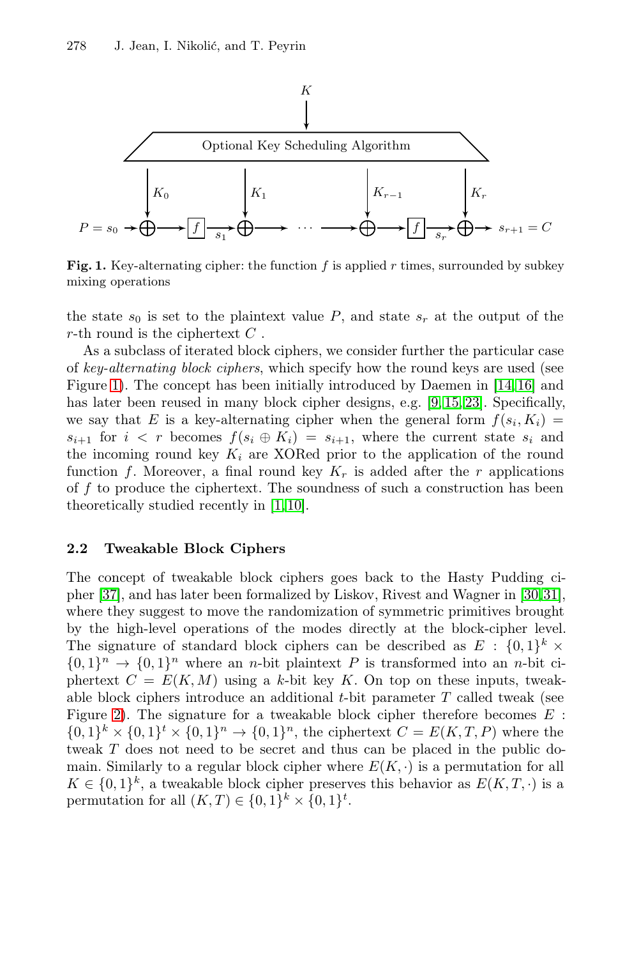

Fig. 1. Key-alternating cipher: the [f](#page-13-0)unction  $f$  [is a](#page-13-10)[ppl](#page-14-1)ie[d](#page-13-8)  $r$  [time](#page-13-9)s, surrounded by subkey mixing operations

the state  $s_0$  is set to the plaintext value P, and state  $s_r$  at the output of the r-th round is the ciphertext  $C$ .

As a subclass of iterated block ciphers, we consider further the particular case of *key-alternati[ng](#page-12-2) [blo](#page-13-11)ck ciphers*, which specify how the round keys are used (see Figure 1). The concept has been initially introduced by Daemen in [14, 16] and has later been reused in many block cipher designs, e.g. [9, 15, 23]. Specifically, we say that E is a key-alternating cipher when the general form  $f(s_i, K_i)$  $s_{i+1}$  for  $i < r$  becomes  $f(s_i \oplus K_i) = s_{i+1}$ , where the current state  $s_i$  and the incoming round key  $K_i$  are XORed prior to the [app](#page-14-4)[lica](#page-14-5)tion of the round function f. Moreover, a final round key  $K_r$  is added after the r applications of  $f$  to produce the ciphertext. The soundness of such a construction has been theoretically studied recently in [1, 10].

### 2.2 Tweakable Block Ciphers

The concept of tweakable block ciphers goes back to the Hasty Pudding cipher [37], and has later been formalized by Liskov, Rivest and Wagner in [30,31], where they suggest to move the randomization of symmetric primitives brought by the high-level operations of the modes directly at the block-cipher level. The signature of standard block ciphers can be described as  $E : \{0,1\}^k \times$  $\{0,1\}^n \rightarrow \{0,1\}^n$  where an *n*-bit plaintext P is transformed into an *n*-bit ciphertext  $C = E(K, M)$  using a k-bit key K. On top on these inputs, tweakable block ciphers introduce an additional  $t$ -bit parameter  $T$  called tweak (see Figure 2). The signature for a tweakable block cipher therefore becomes  $E$ :  $\{0,1\}^k \times \{0,1\}^t \times \{0,1\}^n \to \{0,1\}^n$ , the ciphertext  $C = E(K,T,P)$  where the tweak T does not need to be secret and thus can be placed in the public domain. Similarly to a regular block cipher where  $E(K, \cdot)$  is a permutation for all  $K \in \{0,1\}^k$ , a tweakable block cipher preserves this behavior as  $E(K,T,\cdot)$  is a permutation for all  $(K, T) \in \{0, 1\}^k \times \{0, 1\}^t$ .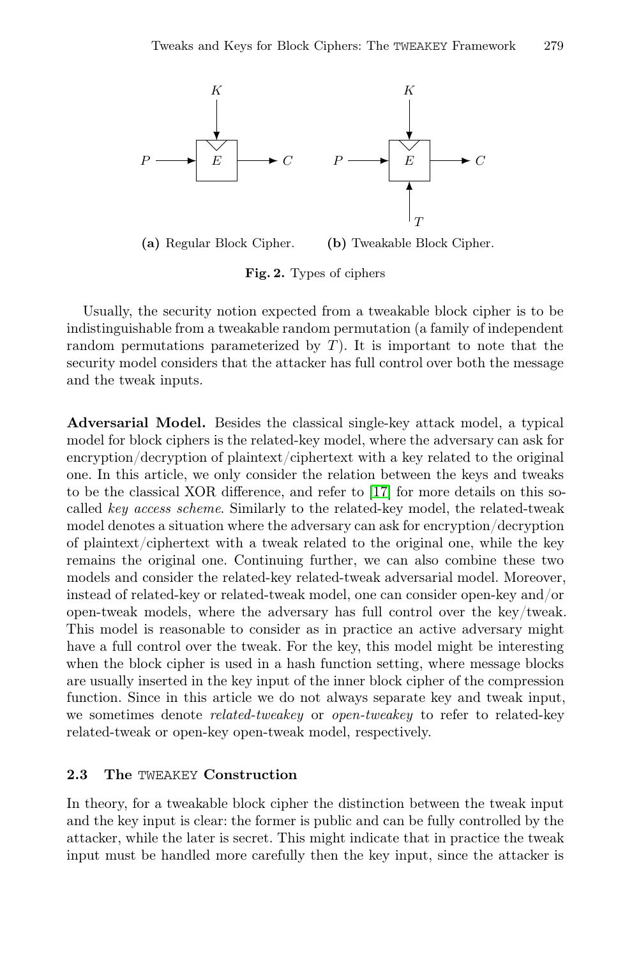

Fig. 2. Types of ciphers

Usually, the security notion expected from a tweakable block cipher is to be indistinguishable from a tweakable random permutation (a family of independent random permutations parameterized by  $T$ ). It is important to note that the security model considers that t[he a](#page-13-12)ttacker has full control over both the message and the tweak inputs.

Adversarial Model. Besides the classical single-key attack model, a typical model for block ciphers is the related-key model, where the adversary can ask for encryption/decryption of plaintext/ciphertext with a key related to the original one. In this article, we only consider the relation between the keys and tweaks to be the classical XOR difference, and refer to [17] for more details on this socalled *key access scheme*. Similarly to the related-key model, the related-tweak model denotes a situation where the adversary can ask for encryption/decryption of plaintext/ciphertext with a tweak related to the original one, while the key remains the original one. Continuing further, we can also combine these two models and consider the related-key related-tweak adversarial model. Moreover, instead of related-key or related-tweak model, one can consider open-key and/or open-tweak models, where the adversary has full control over the key/tweak. This model is reasonable to consider as in practice an active adversary might have a full control over the tweak. For the key, this model might be interesting when the block cipher is used in a hash function setting, where message blocks are usually inserted in the key input of the inner block cipher of the compression function. Since in this article we do not always separate key and tweak input, we sometimes denote *related-tweakey* or *open-tweakey* to refer to related-key related-tweak or open-key open-tweak model, respectively.

### 2.3 The TWEAKEY Construction

In theory, for a tweakable block cipher the distinction between the tweak input and the key input is clear: the former is public and can be fully controlled by the attacker, while the later is secret. This might indicate that in practice the tweak input must be handled more carefully then the key input, since the attacker is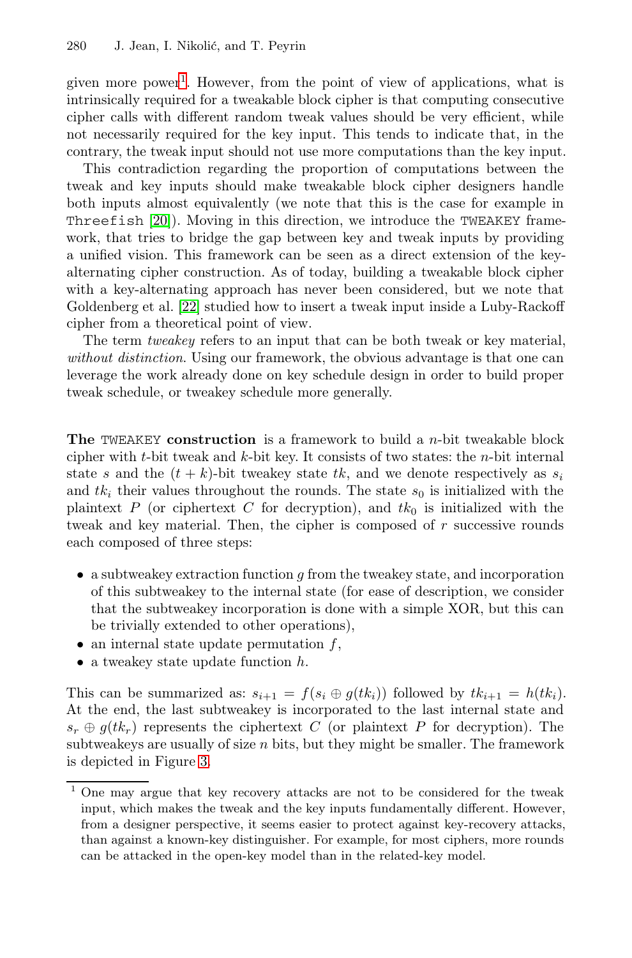given more power<sup>1</sup>. However, from the point of view of applications, what is intrinsically required for a tweakable block cipher is that computing consecutive cipher calls with different random tweak values should be very efficient, while not necessarily required for the key input. This tends to indicate that, in the contrary, the tweak input should not use more computations than the key input.

This contradiction regarding the proportion of computations between the [twe](#page-13-13)ak and key inputs should make tweakable block cipher designers handle both inputs almost equivalently (we note that this is the case for example in Threefish [20]). Moving in this direction, we introduce the TWEAKEY framework, that tries to bridge the gap between key and tweak inputs by providing a unified vision. This framework can be seen as a direct extension of the keyalternating cipher construction. As of today, building a tweakable block cipher with a key-alternating approach has never been considered, but we note that Goldenberg et al. [22] studied how to insert a tweak input inside a Luby-Rackoff cipher from a theoretical point of view.

The term *tweakey* refers to an input that can be both tweak or key material, *without distinction*. Using our framework, the obvious advantage is that one can leverage the work already done on key schedule design in order to build proper tweak schedule, or tweakey schedule more generally.

**The TWEAKEY construction** is a framework to build a *n*-bit tweakable block cipher with  $t$ -bit tweak and  $k$ -bit key. It consists of two states: the  $n$ -bit internal state s and the  $(t + k)$ -bit tweakey state tk, and we denote respectively as  $s_i$ and  $tk_i$  their values throughout the rounds. The state  $s_0$  is initialized with the plaintext P (or ciphertext C for decryption), and  $tk_0$  is initialized with the tweak and key material. Then, the cipher is composed of r successive rounds each composed of three steps:

- $\bullet$  a subtweakey extraction function q from the tweakey state, and incorporation of this subtweakey to the internal state (for ease of description, we consider that the subtweakey incorporation is done with a simple XOR, but this can [b](#page-7-0)e trivially extended to other operations),
- an internal state update permutation  $f$ ,
- $\bullet$  a tweakey state update function  $h$ .

This can be summarized as:  $s_{i+1} = f(s_i \oplus g(t k_i))$  followed by  $tk_{i+1} = h(t k_i)$ . At the end, the last subtweakey is incorporated to the last internal state and  $s_r \oplus q(t_k)$  represents the ciphertext C (or plaintext P for decryption). The subtweakeys are usually of size n bits, but they might be smaller. The framework is depicted in Figure 3.

<sup>1</sup> One may argue that key recovery attacks are not to be considered for the tweak input, which makes the tweak and the key inputs fundamentally different. However, from a designer perspective, it seems easier to protect against key-recovery attacks, than against a known-key distinguisher. For example, for most ciphers, more rounds can be attacked in the open-key model than in the related-key model.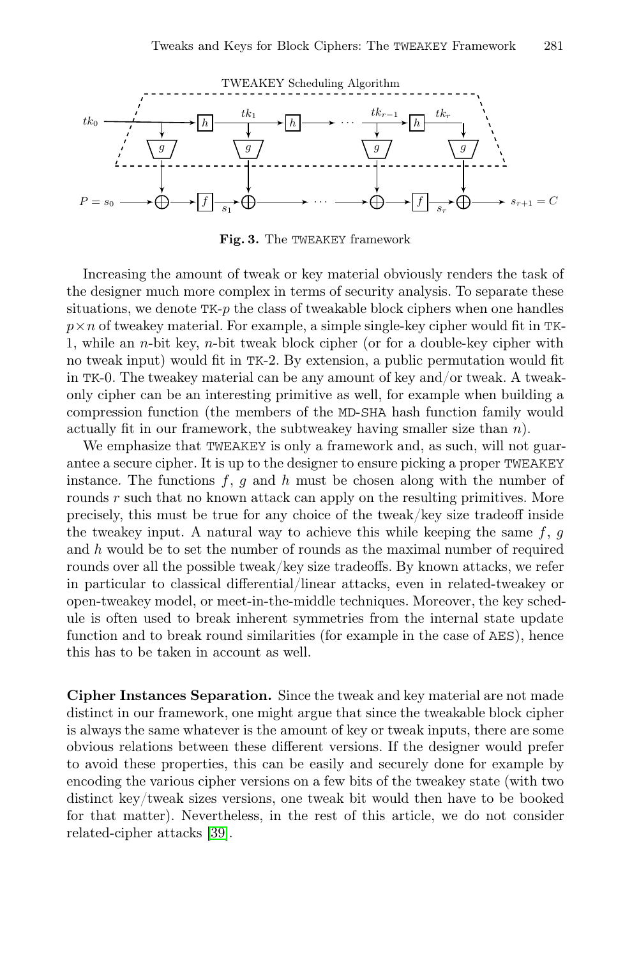<span id="page-7-0"></span>

Fig. 3. The TWEAKEY framework

Increasing the amount of tweak or key material obviously renders the task of the designer much more complex in terms of security analysis. To separate these situations, we denote  $TK-p$  the class of tweakable block ciphers when one handles  $p \times n$  of tweakey material. For example, a simple single-key cipher would fit in TK-<sup>1</sup>, while an n-bit key, n-bit tweak block cipher (or for a double-key cipher with no tweak input) would fit in TK-2. By extension, a public permutation would fit in TK-0. The tweakey material can be any amount of key and/or tweak. A tweakonly cipher can be an interesting primitive as well, for example when building a compression function (the members of the MD-SHA hash function family would actually fit in our framework, the subtweakey having smaller size than  $n$ ).

We emphasize that TWEAKEY is only a framework and, as such, will not guarantee a secure cipher. It is up to the designer to ensure picking a proper TWEAKEY instance. The functions  $f, g$  and h must be chosen along with the number of rounds r such that no known attack can apply on the resulting primitives. More precisely, this must be true for any choice of the tweak/key size tradeoff inside the tweakey input. A natural way to achieve this while keeping the same  $f, g$ and h would be to set the number of rounds as the maximal number of required rounds over all the possible tweak/key size tradeoffs. By known attacks, we refer in particular to classical differential/linear attacks, even in related-tweakey or open-tweakey model, or meet-in-the-middle techniques. Moreover, the key schedule is often used to break inherent symmetries from the internal state update function and to break round similarities (for example in the case of AES), hence this has to be taken in account as well.

Cip[her](#page-14-11) Instances Separation. Since the tweak and key material are not made distinct in our framework, one might argue that since the tweakable block cipher is always the same whatever is the amount of key or tweak inputs, there are some obvious relations between these different versions. If the designer would prefer to avoid these properties, this can be easily and securely done for example by encoding the various cipher versions on a few bits of the tweakey state (with two distinct key/tweak sizes versions, one tweak bit would then have to be booked for that matter). Nevertheless, in the rest of this article, we do not consider related-cipher attacks [39].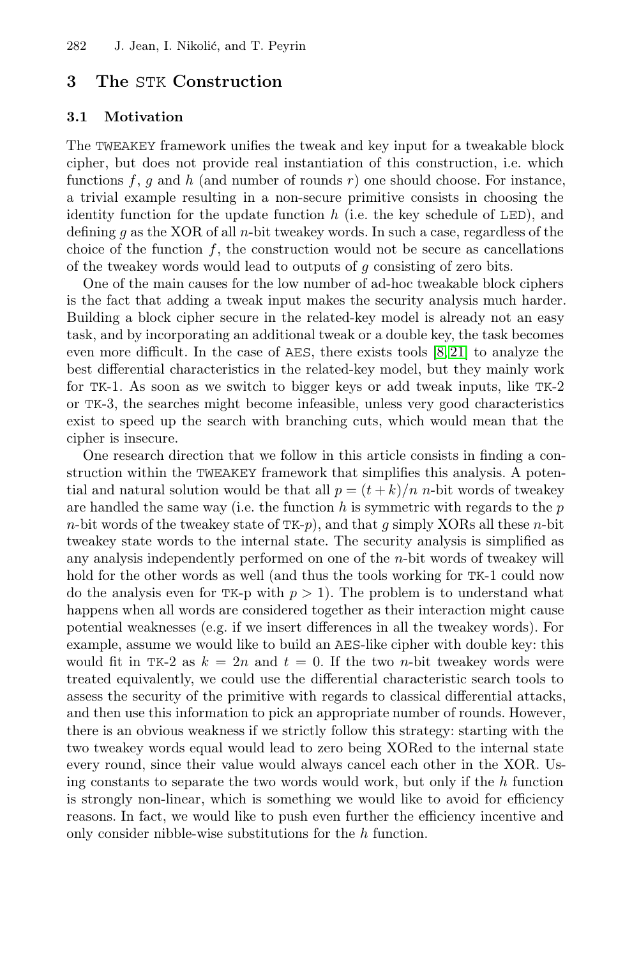# <span id="page-8-0"></span>3 The STK Construction

### 3.1 Motivation

The TWEAKEY framework unifies the tweak and key input for a tweakable block cipher, but does not provide real instantiation of this construction, i.e. which functions f, g and h (and number of rounds r) one should choose. For instance, a trivial example resulting in a non-secure primitive consists in choosing the identity function for t[h](#page-13-3)e update function  $h$  [\(i](#page-13-4).e. the key schedule of LED), and defining  $g$  as the XOR of all *n*-bit tweakey words. In such a case, regardless of the choice of the function  $f$ , the construction would not be secure as cancellations of the tweakey words would lead to outputs of  $g$  consisting of zero bits.

One of the main causes for the low number of ad-hoc tweakable block ciphers is the fact that adding a tweak input makes the security analysis much harder. Building a block cipher secure in the related-key model is already not an easy task, and by incorporating an additional tweak or a double key, the task becomes even more difficult. In the case of AES, there exists tools [8, 21] to analyze the best differential characteristics in the related-key model, but they mainly work for TK-1. As soon as we switch to bigger keys or add tweak inputs, like TK-2 or TK-3, the searches might become infeasible, unless very good characteristics exist to speed up the search with branching cuts, which would mean that the cipher is insecure.

One research direction that we follow in this article consists in finding a construction within the TWEAKEY framework that simplifies this analysis. A potential and natural solution would be that all  $p = (t + k)/n$  *n*-bit words of tweakey are handled the same way (i.e. the function  $h$  is symmetric with regards to the  $p$ n-bit words of the tweakey state of  $TK-p$ , and that g simply XORs all these n-bit tweakey state words to the internal state. The security analysis is simplified as any analysis independently performed on one of the  $n$ -bit words of tweakey will hold for the other words as well (and thus the tools working for TK-1 could now do the analysis even for TK-p with  $p > 1$ ). The problem is to understand what happens when all words are considered together as their interaction might cause potential weaknesses (e.g. if we insert differences in all the tweakey words). For example, assume we would like to build an AES-like cipher with double key: this would fit in TK-2 as  $k = 2n$  and  $t = 0$ . If the two *n*-bit tweakey words were treated equivalently, we could use the differential characteristic search tools to assess the security of the primitive with regards to classical differential attacks, and then use this information to pick an appropriate number of rounds. However, there is an obvious weakness if we strictly follow this strategy: starting with the two tweakey words equal would lead to zero being XORed to the internal state every round, since their value would always cancel each other in the XOR. Using constants to separate the two words would work, but only if the  $h$  function is strongly non-linear, which is something we would like to avoid for efficiency reasons. In fact, we would like to push even further the efficiency incentive and only consider nibble-wise substitutions for the h function.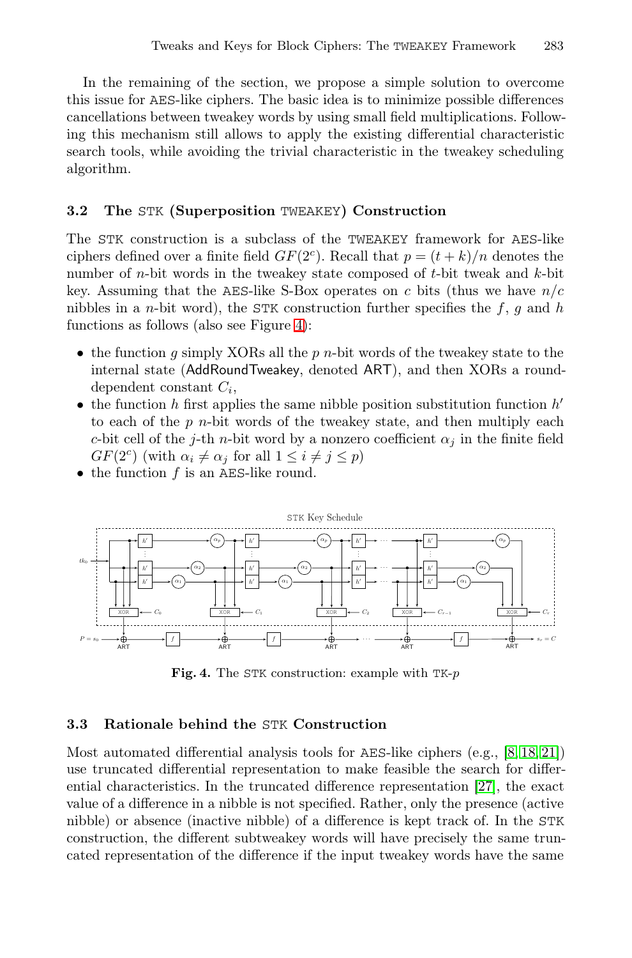In the remaining of the section, we propose a simple solution to overcome this issue for AES-like ciphers. The basic idea is to minimize possible differences cancellations between tweakey words by using small field multiplications. Following this mechanism still allows to apply the existing differential characteristic search tools, while avoiding the trivial characteristic in the tweakey scheduling algorithm.

## 3.2 The STK (Superposition TWEAKEY) Construction

The STK construction is a subclass of the TWEAKEY framework for AES-like ciphers defined over a finite field  $GF(2<sup>c</sup>)$ . Recall that  $p = (t + k)/n$  denotes the number of n-bit words in the tweakey state composed of t-bit tweak and k-bit key. Assuming that the AES-like S-Box operates on c bits (thus we have  $n/c$ nibbles in a *n*-bit word), the STK construction further specifies the  $f$ ,  $g$  and  $h$ functions as follows (also see Figure 4):

- the function q simply XORs all the  $p$  n-bit words of the tweakey state to the internal state (AddRoundTweakey, denoted ART), and then XORs a rounddependent constant C*<sup>i</sup>*,
- the function h first applies the same nibble position substitution function  $h'$ to each of the  $p$  n-bit words of the tweakey state, and then multiply each c-bit cell of the j-th n-bit word by a nonzero coefficient  $\alpha_j$  in the finite field  $GF(2<sup>c</sup>)$  (with  $\alpha_i \neq \alpha_j$  for all  $1 \leq i \neq j \leq p$ )
- $\bullet$  the function  $f$  is an AES-like round.



Fig. 4. The STK construction: example with  $TK-p$ 

## 3.3 Rationale behind the STK Construction

Most automated differential analysis tools for AES-like ciphers (e.g., [8, 18, 21]) use truncated differential representation to make feasible the search for differential characteristics. In the truncated difference representation [27], the exact value of a difference in a nibble is not specified. Rather, only the presence (active nibble) or absence (inactive nibble) of a difference is kept track of. In the STK construction, the different subtweakey words will have precisely the same truncated representation of the difference if the input tweakey words have the same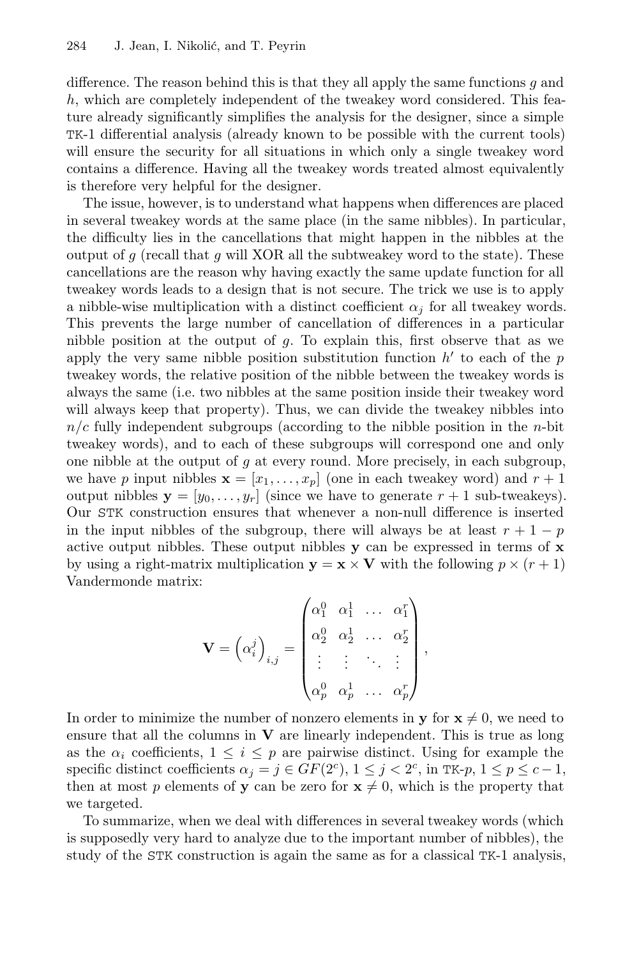difference. The reason behind this is that they all apply the same functions  $g$  and h, which are completely independent of the tweakey word considered. This feature already significantly simplifies the analysis for the designer, since a simple TK-1 differential analysis (already known to be possible with the current tools) will ensure the security for all situations in which only a single tweakey word contains a difference. Having all the tweakey words treated almost equivalently is therefore very helpful for the designer.

The issue, however, is to understand what happens when differences are placed in several tweakey words at the same place (in the same nibbles). In particular, the difficulty lies in the cancellations that might happen in the nibbles at the output of  $g$  (recall that  $g$  will XOR all the subtweakey word to the state). These cancellations are the reason why having exactly the same update function for all tweakey words leads to a design that is not secure. The trick we use is to apply a nibble-wise multiplication with a distinct coefficient  $\alpha_j$  for all tweakey words. This prevents the large number of cancellation of differences in a particular nibble position at the output of  $g$ . To explain this, first observe that as we apply the very same nibble position substitution function  $h'$  to each of the p tweakey words, the relative position of the nibble between the tweakey words is always the same (i.e. two nibbles at the same position inside their tweakey word will always keep that property). Thus, we can divide the tweakey nibbles into  $n/c$  fully independent subgroups (according to the nibble position in the *n*-bit tweakey words), and to each of these subgroups will correspond one and only one nibble at the output of  $q$  at every round. More precisely, in each subgroup, we have p input nibbles  $\mathbf{x} = [x_1, \ldots, x_p]$  (one in each tweakey word) and  $r + 1$ output nibbles  $y = [y_0, \ldots, y_r]$  (since we have to generate  $r + 1$  sub-tweakeys). Our STK construction ensures that whenever a non-null difference is inserted in the input nibbles of the subgroup, there will always be at least  $r + 1 - p$ active output nibbles. These output nibbles **y** can be expressed in terms of **x** by using a right-matrix multiplication  $\mathbf{y} = \mathbf{x} \times \mathbf{V}$  with the following  $p \times (r+1)$ Vandermonde matrix:

$$
\mathbf{V} = \left(\alpha_i^j\right)_{i,j} = \begin{pmatrix} \alpha_1^0 & \alpha_1^1 & \dots & \alpha_1^r \\ \alpha_2^0 & \alpha_2^1 & \dots & \alpha_2^r \\ \vdots & \vdots & \ddots & \vdots \\ \alpha_p^0 & \alpha_p^1 & \dots & \alpha_p^r \end{pmatrix},
$$

In order to minimize the number of nonzero elements in **y** for  $\mathbf{x} \neq 0$ , we need to ensure that all the columns in  $V$  are linearly independent. This is true as long as the  $\alpha_i$  coefficients,  $1 \leq i \leq p$  are pairwise distinct. Using for example the specific distinct coefficients  $\alpha_j = j \in GF(2^c), 1 \leq j < 2^c$ , in TK-p,  $1 \leq p \leq c-1$ , then at most p elements of **y** can be zero for  $x \neq 0$ , which is the property that we targeted.

To summarize, when we deal with differences in several tweakey words (which is supposedly very hard to analyze due to the important number of nibbles), the study of the STK construction is again the same as for a classical TK-1 analysis,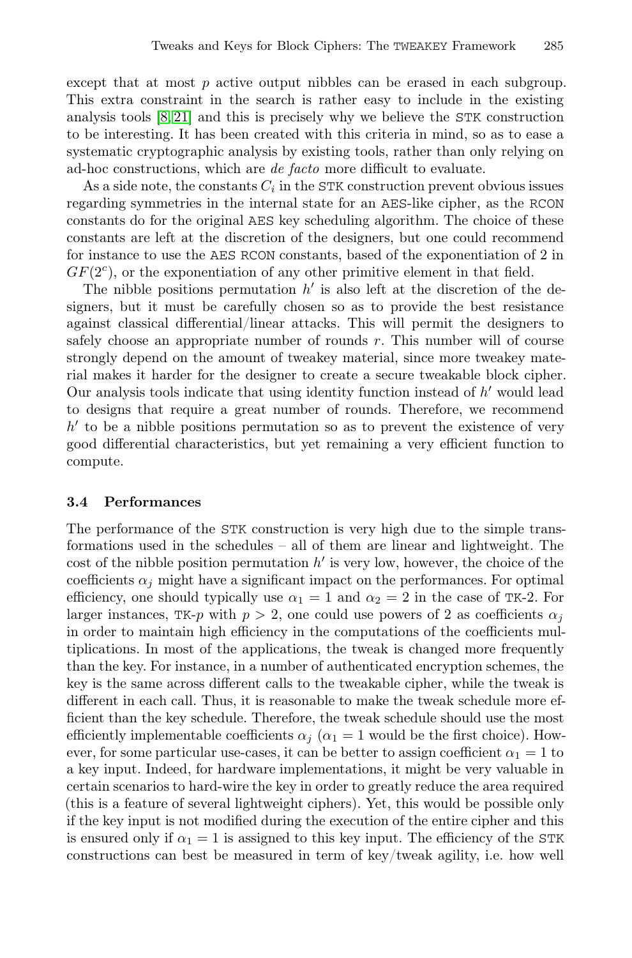except that at most  $p$  active output nibbles can be erased in each subgroup. This extra constraint in the search is rather easy to include in the existing analysis tools [8, 21] and this is precisely why we believe the STK construction to be interesting. It has been created with this criteria in mind, so as to ease a systematic cryptographic analysis by existing tools, rather than only relying on ad-hoc constructions, which are *de facto* more difficult to evaluate.

As a side note, the constants  $C_i$  in the STK construction prevent obvious issues regarding symmetries in the internal state for an AES-like cipher, as the RCON constants do for the original AES key scheduling algorithm. The choice of these constants are left at the discretion of the designers, but one could recommend for instance to use the AES RCON constants, based of the exponentiation of 2 in  $GF(2<sup>c</sup>)$ , or the exponentiation of any other primitive element in that field.

The nibble positions permutation  $h'$  is also left at the discretion of the designers, but it must be carefully chosen so as to provide the best resistance against classical differential/linear attacks. This will permit the designers to safely choose an appropriate number of rounds  $r$ . This number will of course strongly depend on the amount of tweakey material, since more tweakey material makes it harder for the designer to create a secure tweakable block cipher. Our analysis tools indicate that using identity function instead of  $h'$  would lead to designs that require a great number of rounds. Therefore, we recommend  $h'$  to be a nibble positions permutation so as to prevent the existence of very good differential characteristics, but yet remaining a very efficient function to compute.

### 3.4 Performances

The performance of the STK construction is very high due to the simple transformations used in the schedules – all of them are linear and lightweight. The cost of the nibble position permutation  $h'$  is very low, however, the choice of the coefficients  $\alpha_j$  might have a significant impact on the performances. For optimal efficiency, one should typically use  $\alpha_1 = 1$  and  $\alpha_2 = 2$  in the case of TK-2. For larger instances, TK-p with  $p > 2$ , one could use powers of 2 as coefficients  $\alpha_j$ in order to maintain high efficiency in the computations of the coefficients multiplications. In most of the applications, the tweak is changed more frequently than the key. For instance, in a number of authenticated encryption schemes, the key is the same across different calls to the tweakable cipher, while the tweak is different in each call. Thus, it is reasonable to make the tweak schedule more efficient than the key schedule. Therefore, the tweak schedule should use the most efficiently implementable coefficients  $\alpha_i$  ( $\alpha_1 = 1$  would be the first choice). However, for some particular use-cases, it can be better to assign coefficient  $\alpha_1 = 1$  to a key input. Indeed, for hardware implementations, it might be very valuable in certain scenarios to hard-wire the key in order to greatly reduce the area required (this is a feature of several lightweight ciphers). Yet, this would be possible only if the key input is not modified during the execution of the entire cipher and this is ensured only if  $\alpha_1 = 1$  is assigned to this key input. The efficiency of the STK constructions can best be measured in term of key/tweak agility, i.e. how well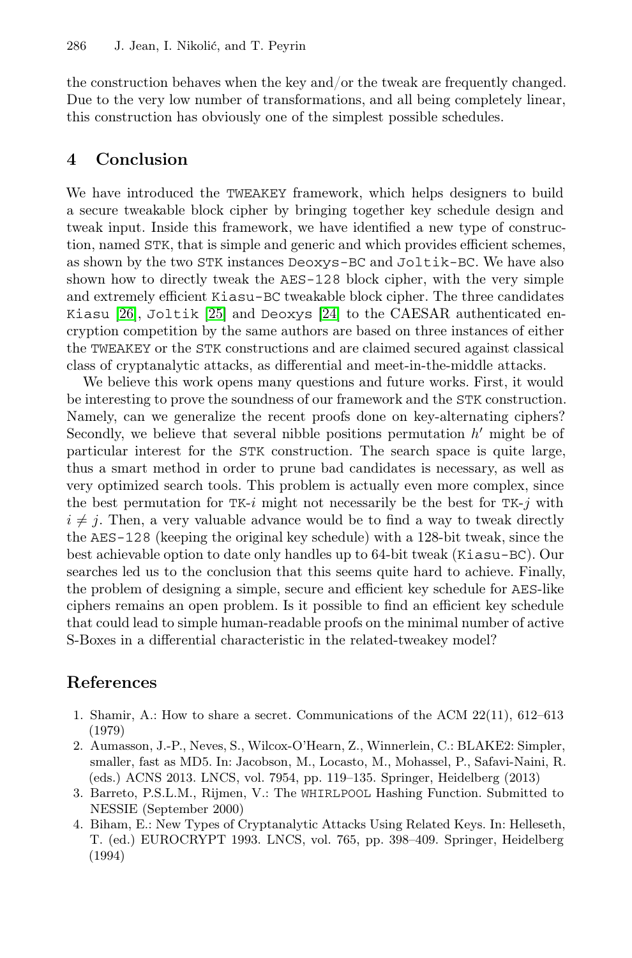the construction behaves when the key and/or the tweak are frequently changed. Due to the very low number of transformations, and all being completely linear, this construction has obviously one of the simplest possible schedules.

# 4 Conclusion

We [hav](#page-14-12)e introduced t[he](#page-14-13) TWEAKEY framework, which helps designers to build a secure tweakable block cipher by bringing together key schedule design and tweak input. Inside this framework, we have identified a new type of construction, named STK, that is simple and generic and which provides efficient schemes, as shown by the two STK instances Deoxys-BC and Joltik-BC. We have also shown how to directly tweak the AES-128 block cipher, with the very simple and extremely efficient Kiasu-BC tweakable block cipher. The three candidates Kiasu [26], Joltik [25] and Deoxys [24] to the CAESAR authenticated encryption competition by the same authors are based on three instances of either the TWEAKEY or the STK constructions and are claimed secured against classical class of cryptanalytic attacks, as differential and meet-in-the-middle attacks.

<span id="page-12-2"></span><span id="page-12-1"></span>We believe this work opens many questions and future works. First, it would be interesting to prove the soundness of our framework and the STK construction. Namely, can we generalize the recent proofs done on key-alternating ciphers? Secondly, we believe that several nibble positions permutation  $h'$  might be of particular interest for the STK construction. The search space is quite large, thus a smart method in order to prune bad candidates is necessary, as well as very optimized search tools. This problem is actually even more complex, since the best permutation for  $TK-i$  might not necessarily be the best for  $TK-j$  with  $i \neq j$ . Then, a very valuable advance would be to find a way to tweak directly the AES-128 (keeping the original key schedule) with a 128-bit tweak, since the best achievable option to date only handles up to 64-bit tweak (Kiasu-BC). Our searches led us to the conclusion that this seems quite hard to achieve. Finally, the problem of designing a simple, secure and efficient key schedule for AES-like ciphers remains an open problem. Is it possible to find an efficient key schedule that could lead to simple human-readable proofs on the minimal number of active S-Boxes in a differential characteristic in the related-tweakey model?

# <span id="page-12-0"></span>References

- 1. Shamir, A.: How to share a secret. Communications of the ACM 22(11), 612–613 (1979)
- 2. Aumasson, J.-P., Neves, S., Wilcox-O'Hearn, Z., Winnerlein, C.: BLAKE2: Simpler, smaller, fast as MD5. In: Jacobson, M., Locasto, M., Mohassel, P., Safavi-Naini, R. (eds.) ACNS 2013. LNCS, vol. 7954, pp. 119–135. Springer, Heidelberg (2013)
- 3. Barreto, P.S.L.M., Rijmen, V.: The WHIRLPOOL Hashing Function. Submitted to NESSIE (September 2000)
- 4. Biham, E.: New Types of Cryptanalytic Attacks Using Related Keys. In: Helleseth, T. (ed.) EUROCRYPT 1993. LNCS, vol. 765, pp. 398–409. Springer, Heidelberg (1994)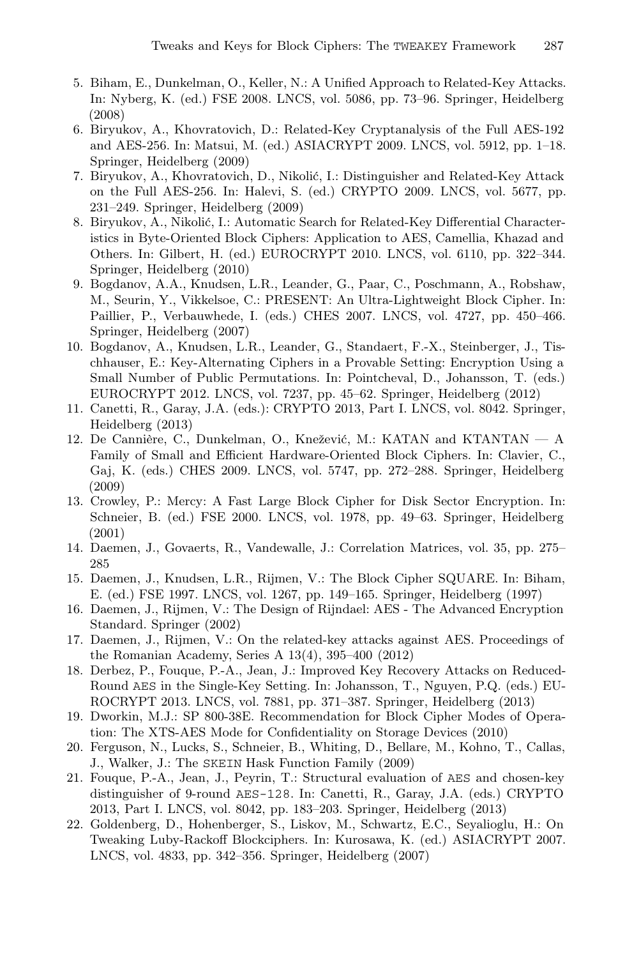- <span id="page-13-7"></span><span id="page-13-3"></span><span id="page-13-2"></span>5. Biham, E., Dunkelman, O., Keller, N.: A Unified Approach to Related-Key Attacks. In: Nyberg, K. (ed.) FSE 2008. LNCS, vol. 5086, pp. 73–96. Springer, Heidelberg (2008)
- 6. Biryukov, A., Khovratovich, D.: Related-Key Cryptanalysis of the Full AES-192 and AES-256. In: Matsui, M. (ed.) ASIACRYPT 2009. LNCS, vol. 5912, pp. 1–18. Springer, Heidelberg (2009)
- <span id="page-13-0"></span>7. Biryukov, A., Khovratovich, D., Nikolić, I.: Distinguisher and Related-Key Attack on the Full AES-256. In: Halevi, S. (ed.) CRYPTO 2009. LNCS, vol. 5677, pp. 231–249. Springer, Heidelberg (2009)
- <span id="page-13-11"></span>8. Biryukov, A., Nikolić, I.: Automatic Search for Related-Key Differential Characteristics in Byte-Oriented Block Ciphers: Application to AES, Camellia, Khazad and Others. In: Gilbert, H. (ed.) EUROCRYPT 2010. LNCS, vol. 6110, pp. 322–344. Springer, Heidelberg (2010)
- <span id="page-13-1"></span>9. Bogdanov, A.A., Knudsen, L.R., Leander, G., Paar, C., Poschmann, A., Robshaw, M., Seurin, Y., Vikkelsoe, C.: PRESENT: An Ultra-Lightweight Block Cipher. In: Paillier, P., Verbauwhede, I. (eds.) CHES 2007. LNCS, vol. 4727, pp. 450–466. Springer, Heidelberg (2007)
- <span id="page-13-5"></span>10. Bogdanov, A., Knudsen, L.R., Leander, G., Standaert, F.-X., Steinberger, J., Tischhauser, E.: Key-Alternating Ciphers in a Provable Setting: Encryption Using a Small Number of Public Permutations. In: Pointcheval, D., Johansson, T. (eds.) EUROCRYPT 2012. LNCS, vol. 7237, pp. 45–62. Springer, Heidelberg (2012)
- <span id="page-13-8"></span>11. Canetti, R., Garay, J.A. (eds.): CRYPTO 2013, Part I. LNCS, vol. 8042. Springer, Heidelberg (2013)
- <span id="page-13-10"></span>12. De Cannière, C., Dunkelman, O., Knežević, M.: KATAN and KTANTAN — A Family of Small and Efficient Hardware-Oriented Block Ciphers. In: Clavier, C., Gaj, K. (eds.) CHES 2009. LNCS, vol. 5747, pp. 272–288. Springer, Heidelberg (2009)
- <span id="page-13-12"></span><span id="page-13-9"></span>13. Crowley, P.: Mercy: A Fast Large Block Cipher for Disk Sector Encryption. In: Schneier, B. (ed.) FSE 2000. LNCS, vol. 1978, pp. 49–63. Springer, Heidelberg (2001)
- <span id="page-13-14"></span>14. Daemen, J., Govaerts, R., Vandewalle, J.: Correlation Matrices, vol. 35, pp. 275– 285
- <span id="page-13-6"></span>15. Daemen, J., Knudsen, L.R., Rijmen, V.: The Block Cipher SQUARE. In: Biham, E. (ed.) FSE 1997. LNCS, vol. 1267, pp. 149–165. Springer, Heidelberg (1997)
- 16. Daemen, J., Rijmen, V.: The Design of Rijndael: AES The Advanced Encryption Standard. Springer (2002)
- <span id="page-13-4"></span>17. Daemen, J., Rijmen, V.: On the related-key attacks against AES. Proceedings of the Romanian Academy, Series A 13(4), 395–400 (2012)
- <span id="page-13-13"></span>18. Derbez, P., Fouque, P.-A., Jean, J.: Improved Key Recovery Attacks on Reduced-Round AES in the Single-Key Setting. In: Johansson, T., Nguyen, P.Q. (eds.) EU-ROCRYPT 2013. LNCS, vol. 7881, pp. 371–387. Springer, Heidelberg (2013)
- 19. Dworkin, M.J.: SP 800-38E. Recommendation for Block Cipher Modes of Operation: The XTS-AES Mode for Confidentiality on Storage Devices (2010)
- 20. Ferguson, N., Lucks, S., Schneier, B., Whiting, D., Bellare, M., Kohno, T., Callas, J., Walker, J.: The SKEIN Hask Function Family (2009)
- 21. Fouque, P.-A., Jean, J., Peyrin, T.: Structural evaluation of AES and chosen-key distinguisher of 9-round AES-128. In: Canetti, R., Garay, J.A. (eds.) CRYPTO 2013, Part I. LNCS, vol. 8042, pp. 183–203. Springer, Heidelberg (2013)
- 22. Goldenberg, D., Hohenberger, S., Liskov, M., Schwartz, E.C., Seyalioglu, H.: On Tweaking Luby-Rackoff Blockciphers. In: Kurosawa, K. (ed.) ASIACRYPT 2007. LNCS, vol. 4833, pp. 342–356. Springer, Heidelberg (2007)